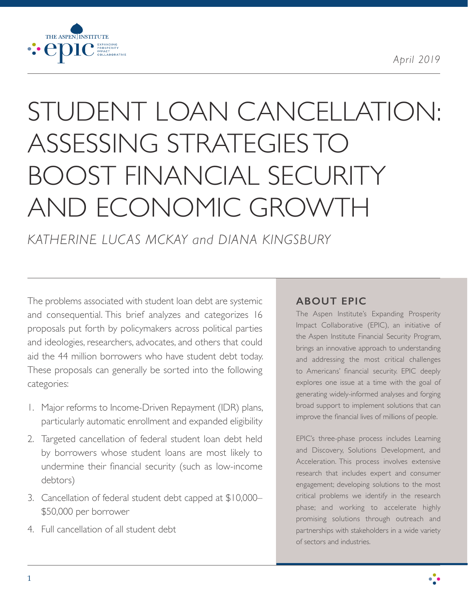

# STUDENT LOAN CANCELLATION: ASSESSING STRATEGIES TO BOOST FINANCIAL SECURITY AND ECONOMIC GROWTH

*KATHERINE LUCAS MCKAY and DIANA KINGSBURY*

The problems associated with student loan debt are systemic and consequential. This brief analyzes and categorizes 16 proposals put forth by policymakers across political parties and ideologies, researchers, advocates, and others that could aid the 44 million borrowers who have student debt today. These proposals can generally be sorted into the following categories:

- 1. Major reforms to Income-Driven Repayment (IDR) plans, particularly automatic enrollment and expanded eligibility
- 2. Targeted cancellation of federal student loan debt held by borrowers whose student loans are most likely to undermine their financial security (such as low-income debtors)
- 3. Cancellation of federal student debt capped at \$10,000– \$50,000 per borrower
- 4. Full cancellation of all student debt

# **ABOUT EPIC**

The Aspen Institute's Expanding Prosperity Impact Collaborative (EPIC), an initiative of the Aspen Institute Financial Security Program, brings an innovative approach to understanding and addressing the most critical challenges to Americans' financial security. EPIC deeply explores one issue at a time with the goal of generating widely-informed analyses and forging broad support to implement solutions that can improve the financial lives of millions of people.

EPIC's three-phase process includes Learning and Discovery, Solutions Development, and Acceleration. This process involves extensive research that includes expert and consumer engagement; developing solutions to the most critical problems we identify in the research phase; and working to accelerate highly promising solutions through outreach and partnerships with stakeholders in a wide variety of sectors and industries.



<u>. .</u>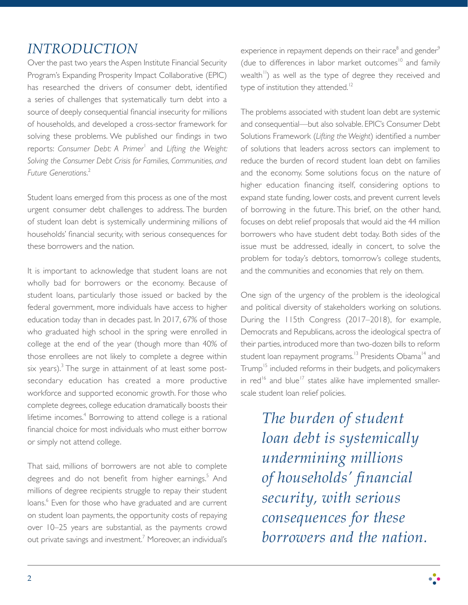# *INTRODUCTION*

Over the past two years the Aspen Institute Financial Security Program's Expanding Prosperity Impact Collaborative (EPIC) has researched the drivers of consumer debt, identified a series of challenges that systematically turn debt into a source of deeply consequential financial insecurity for millions of households, and developed a cross-sector framework for solving these problems. We published our findings in two reports: *Consumer Debt: A Primer*<sup>1</sup> and *Lifting the Weight: Solving the Consumer Debt Crisis for Families, Communities, and Future Generations*. 2

Student loans emerged from this process as one of the most urgent consumer debt challenges to address. The burden of student loan debt is systemically undermining millions of households' financial security, with serious consequences for these borrowers and the nation.

It is important to acknowledge that student loans are not wholly bad for borrowers or the economy. Because of student loans, particularly those issued or backed by the federal government, more individuals have access to higher education today than in decades past. In 2017, 67% of those who graduated high school in the spring were enrolled in college at the end of the year (though more than 40% of those enrollees are not likely to complete a degree within six years). $^3$  The surge in attainment of at least some postsecondary education has created a more productive workforce and supported economic growth. For those who complete degrees, college education dramatically boosts their lifetime incomes.<sup>4</sup> Borrowing to attend college is a rational financial choice for most individuals who must either borrow or simply not attend college.

That said, millions of borrowers are not able to complete degrees and do not benefit from higher earnings.<sup>5</sup> And millions of degree recipients struggle to repay their student loans.<sup>6</sup> Even for those who have graduated and are current on student loan payments, the opportunity costs of repaying over 10–25 years are substantial, as the payments crowd out private savings and investment.<sup>7</sup> Moreover, an individual's

experience in repayment depends on their race $^8$  and gender $^3$ (due to differences in labor market outcomes<sup>10</sup> and family wealth<sup>11</sup>) as well as the type of degree they received and type of institution they attended.<sup>12</sup>

The problems associated with student loan debt are systemic and consequential—but also solvable. EPIC's Consumer Debt Solutions Framework (*Lifting the Weight*) identified a number of solutions that leaders across sectors can implement to reduce the burden of record student loan debt on families and the economy. Some solutions focus on the nature of higher education financing itself, considering options to expand state funding, lower costs, and prevent current levels of borrowing in the future. This brief, on the other hand, focuses on debt relief proposals that would aid the 44 million borrowers who have student debt today. Both sides of the issue must be addressed, ideally in concert, to solve the problem for today's debtors, tomorrow's college students, and the communities and economies that rely on them.

One sign of the urgency of the problem is the ideological and political diversity of stakeholders working on solutions. During the 115th Congress (2017–2018), for example, Democrats and Republicans, across the ideological spectra of their parties, introduced more than two-dozen bills to reform student loan repayment programs.<sup>13</sup> Presidents Obama<sup>14</sup> and Trump<sup>15</sup> included reforms in their budgets, and policymakers in  $\text{red}^{16}$  and blue<sup>17</sup> states alike have implemented smallerscale student loan relief policies.

> *The burden of student loan debt is systemically undermining millions of households' financial security, with serious consequences for these borrowers and the nation.*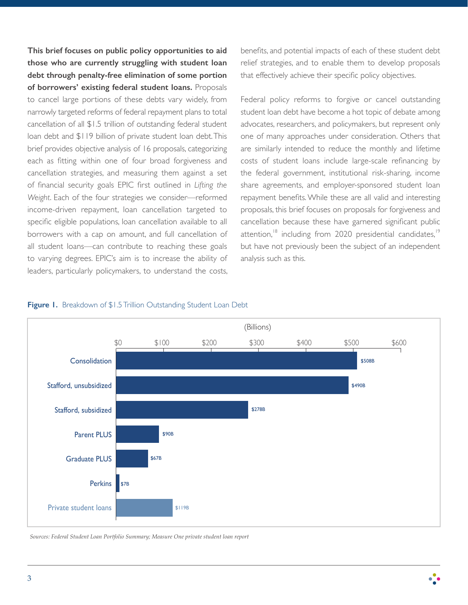**This brief focuses on public policy opportunities to aid those who are currently struggling with student loan debt through penalty-free elimination of some portion of borrowers' existing federal student loans.** Proposals to cancel large portions of these debts vary widely, from narrowly targeted reforms of federal repayment plans to total cancellation of all \$1.5 trillion of outstanding federal student loan debt and \$119 billion of private student loan debt. This brief provides objective analysis of 16 proposals, categorizing each as fitting within one of four broad forgiveness and cancellation strategies, and measuring them against a set of financial security goals EPIC first outlined in *Lifting the Weight*. Each of the four strategies we consider—reformed income-driven repayment, loan cancellation targeted to specific eligible populations, loan cancellation available to all borrowers with a cap on amount, and full cancellation of all student loans—can contribute to reaching these goals to varying degrees. EPIC's aim is to increase the ability of leaders, particularly policymakers, to understand the costs,

benefits, and potential impacts of each of these student debt relief strategies, and to enable them to develop proposals that effectively achieve their specific policy objectives.

Federal policy reforms to forgive or cancel outstanding student loan debt have become a hot topic of debate among advocates, researchers, and policymakers, but represent only one of many approaches under consideration. Others that are similarly intended to reduce the monthly and lifetime costs of student loans include large-scale refinancing by the federal government, institutional risk-sharing, income share agreements, and employer-sponsored student loan repayment benefits. While these are all valid and interesting proposals, this brief focuses on proposals for forgiveness and cancellation because these have garnered significant public attention, $18$  including from 2020 presidential candidates, $19$ but have not previously been the subject of an independent analysis such as this.





*Sources: Federal Student Loan Portfolio Summary; Measure One private student loan report*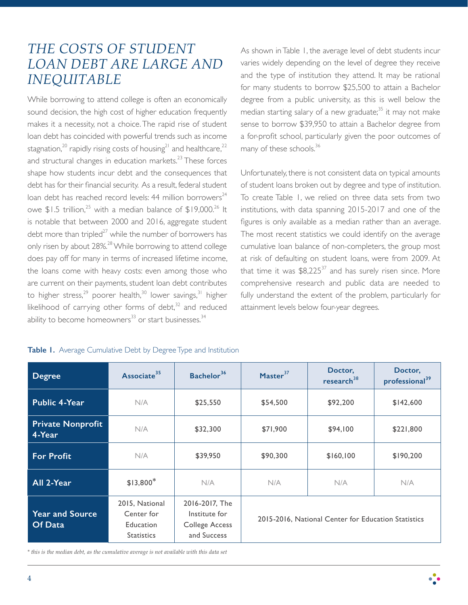# *THE COSTS OF STUDENT LOAN DEBT ARE LARGE AND INEQUITABLE*

While borrowing to attend college is often an economically sound decision, the high cost of higher education frequently makes it a necessity, not a choice. The rapid rise of student loan debt has coincided with powerful trends such as income stagnation,<sup>20</sup> rapidly rising costs of housing<sup>21</sup> and healthcare,<sup>22</sup> and structural changes in education markets.<sup>23</sup> These forces shape how students incur debt and the consequences that debt has for their financial security. As a result, federal student loan debt has reached record levels:  $44$  million borrowers<sup> $24$ </sup> owe  $$1.5$  trillion,<sup>25</sup> with a median balance of  $$19,000$ .<sup>26</sup> It is notable that between 2000 and 2016, aggregate student debt more than tripled $^{27}$  while the number of borrowers has only risen by about 28%.<sup>28</sup> While borrowing to attend college does pay off for many in terms of increased lifetime income, the loans come with heavy costs: even among those who are current on their payments, student loan debt contributes to higher stress,<sup>29</sup> poorer health,<sup>30</sup> lower savings,<sup>31</sup> higher likelihood of carrying other forms of debt, $32$  and reduced ability to become homeowners<sup>33</sup> or start businesses.<sup>34</sup>

#### Table I. Average Cumulative Debt by Degree Type and Institution

As shown in Table 1, the average level of debt students incur varies widely depending on the level of degree they receive and the type of institution they attend. It may be rational for many students to borrow \$25,500 to attain a Bachelor degree from a public university, as this is well below the median starting salary of a new graduate; $35$  it may not make sense to borrow \$39,950 to attain a Bachelor degree from a for-profit school, particularly given the poor outcomes of many of these schools.<sup>36</sup>

Unfortunately, there is not consistent data on typical amounts of student loans broken out by degree and type of institution. To create Table 1, we relied on three data sets from two institutions, with data spanning 2015-2017 and one of the figures is only available as a median rather than an average. The most recent statistics we could identify on the average cumulative loan balance of non-completers, the group most at risk of defaulting on student loans, were from 2009. At that time it was  $$8,225^{37}$  and has surely risen since. More comprehensive research and public data are needed to fully understand the extent of the problem, particularly for attainment levels below four-year degrees.

| <b>Degree</b>                      | Associate <sup>35</sup>                                        | Bachelor <sup>36</sup>                                                  | Master $37$                                         | Doctor,<br>research <sup>38</sup> | Doctor,<br>professional <sup>39</sup> |
|------------------------------------|----------------------------------------------------------------|-------------------------------------------------------------------------|-----------------------------------------------------|-----------------------------------|---------------------------------------|
| <b>Public 4-Year</b>               | N/A                                                            | \$25,550                                                                | \$54,500                                            | \$92,200                          | \$142,600                             |
| <b>Private Nonprofit</b><br>4-Year | N/A                                                            | \$32,300                                                                | \$71,900                                            | \$94,100                          | \$221,800                             |
| <b>For Profit</b>                  | N/A                                                            | \$39,950                                                                | \$90,300                                            | \$160,100                         | \$190,200                             |
| All 2-Year                         | $$13,800*$                                                     | N/A                                                                     | N/A                                                 | N/A                               | N/A                                   |
| <b>Year and Source</b><br>Of Data  | 2015, National<br>Center for<br>Education<br><b>Statistics</b> | 2016-2017, The<br>Institute for<br><b>College Access</b><br>and Success | 2015-2016, National Center for Education Statistics |                                   |                                       |

*\* this is the median debt, as the cumulative average is not available with this data set*

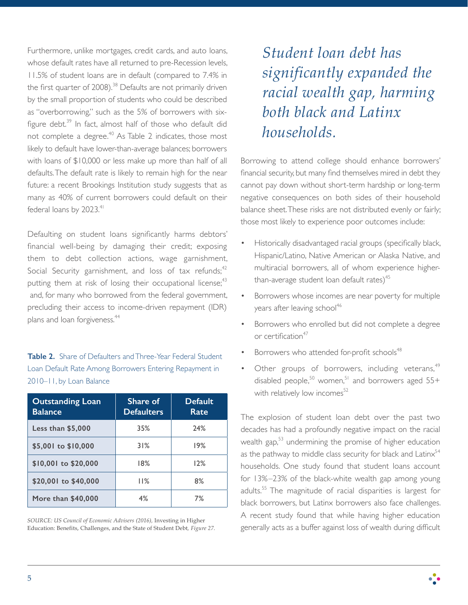Furthermore, unlike mortgages, credit cards, and auto loans, whose default rates have all returned to pre-Recession levels, 11.5% of student loans are in default (compared to 7.4% in the first quarter of  $2008$ ).<sup>38</sup> Defaults are not primarily driven by the small proportion of students who could be described as "overborrowing," such as the 5% of borrowers with sixfigure debt. $39$  In fact, almost half of those who default did not complete a degree.<sup>40</sup> As Table 2 indicates, those most likely to default have lower-than-average balances; borrowers with loans of \$10,000 or less make up more than half of all defaults. The default rate is likely to remain high for the near future: a recent Brookings Institution study suggests that as many as 40% of current borrowers could default on their federal loans by  $2023.<sup>41</sup>$ 

Defaulting on student loans significantly harms debtors' financial well-being by damaging their credit; exposing them to debt collection actions, wage garnishment, Social Security garnishment, and loss of tax refunds;  $42$ putting them at risk of losing their occupational license;<sup>43</sup> and, for many who borrowed from the federal government, precluding their access to income-driven repayment (IDR) plans and loan forgiveness.<sup>44</sup>

**Table 2.** Share of Defaulters and Three-Year Federal Student Loan Default Rate Among Borrowers Entering Repayment in 2010–11, by Loan Balance

| <b>Outstanding Loan</b><br><b>Balance</b> | Share of<br><b>Defaulters</b> | <b>Default</b><br>Rate |
|-------------------------------------------|-------------------------------|------------------------|
| Less than \$5,000                         | 35%                           | 24%                    |
| \$5,001 to \$10,000                       | 31%                           | 19%                    |
| \$10,001 to \$20,000                      | 18%                           | 12%                    |
| \$20,001 to \$40,000                      | 11%                           | 8%                     |
| More than \$40,000                        | 4%                            | 7%                     |

*SOURCE: US Council of Economic Advisers (2016),* Investing in Higher Education: Benefits, Challenges, and the State of Student Debt*, Figure 27.* *Student loan debt has significantly expanded the racial wealth gap, harming both black and Latinx households.*

Borrowing to attend college should enhance borrowers' financial security, but many find themselves mired in debt they cannot pay down without short-term hardship or long-term negative consequences on both sides of their household balance sheet. These risks are not distributed evenly or fairly; those most likely to experience poor outcomes include:

- Historically disadvantaged racial groups (specifically black, Hispanic/Latino, Native American or Alaska Native, and multiracial borrowers, all of whom experience higherthan-average student loan default rates) $45$
- Borrowers whose incomes are near poverty for multiple years after leaving school<sup>46</sup>
- Borrowers who enrolled but did not complete a degree or certification<sup>47</sup>
- Borrowers who attended for-profit schools<sup>48</sup>
- Other groups of borrowers, including veterans,<sup>49</sup> disabled people,<sup>50</sup> women,<sup>51</sup> and borrowers aged  $55+$ with relatively low incomes $52$

The explosion of student loan debt over the past two decades has had a profoundly negative impact on the racial wealth gap,<sup>53</sup> undermining the promise of higher education as the pathway to middle class security for black and  $Latinx<sup>54</sup>$ households. One study found that student loans account for 13%–23% of the black-white wealth gap among young adults.55 The magnitude of racial disparities is largest for black borrowers, but Latinx borrowers also face challenges. A recent study found that while having higher education generally acts as a buffer against loss of wealth during difficult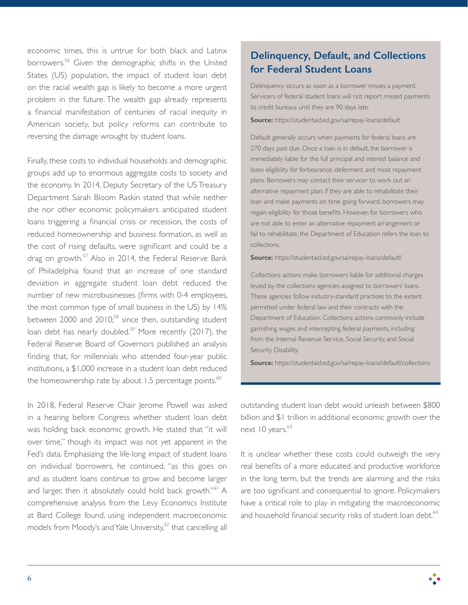economic times, this is untrue for both black and Latinx borrowers.<sup>56</sup> Given the demographic shifts in the United States (US) population, the impact of student loan debt on the racial wealth gap is likely to become a more urgent problem in the future. The wealth gap already represents a financial manifestation of centuries of racial inequity in American society, but policy reforms can contribute to reversing the damage wrought by student loans.

Finally, these costs to individual households and demographic groups add up to enormous aggregate costs to society and the economy. In 2014, Deputy Secretary of the US Treasury Department Sarah Bloom Raskin stated that while neither she nor other economic policymakers anticipated student loans triggering a financial crisis or recession, the costs of reduced homeownership and business formation, as well as the cost of rising defaults, were significant and could be a drag on growth.<sup>57</sup> Also in 2014, the Federal Reserve Bank of Philadelphia found that an increase of one standard deviation in aggregate student loan debt reduced the number of new microbusinesses (firms with 0-4 employees, the most common type of small business in the US) by 14% between 2000 and 2010; $58$  since then, outstanding student loan debt has nearly doubled.<sup>59</sup> More recently (2017), the Federal Reserve Board of Governors published an analysis finding that, for millennials who attended four-year public institutions, a \$1,000 increase in a student loan debt reduced the homeownership rate by about  $1.5$  percentage points.<sup>60</sup>

In 2018, Federal Reserve Chair Jerome Powell was asked in a hearing before Congress whether student loan debt was holding back economic growth. He stated that "it will over time," though its impact was not yet apparent in the Fed's data. Emphasizing the life-long impact of student loans on individual borrowers, he continued, "as this goes on and as student loans continue to grow and become larger and larger, then it absolutely could hold back growth."<sup>61</sup> A comprehensive analysis from the Levy Economics Institute at Bard College found, using independent macroeconomic models from Moody's and Yale University, $62$  that cancelling all

# **Delinquency, Default, and Collections for Federal Student Loans**

Delinquency occurs as soon as a borrower misses a payment. Servicers of federal student loans will not report missed payments to credit bureaus until they are 90 days late.

**Source:** https://studentaid.ed.gov/sa/repay-loans/default

Default generally occurs when payments for federal loans are 270 days past due. Once a loan is in default, the borrower is immediately liable for the full principal and interest balance and loses eligibility for forbearance, deferment, and most repayment plans. Borrowers may contact their servicer to work out an alternative repayment plan; if they are able to rehabilitate their loan and make payments on time going forward, borrowers may regain eligibility for those benefits. However, for borrowers who are not able to enter an alternative repayment arrangement or fail to rehabilitate, the Department of Education refers the loan to collections.

**Source:** https://studentaid.ed.gov/sa/repay-loans/default/

Collections actions make borrowers liable for additional charges levied by the collections agencies assigned to borrowers' loans. These agencies follow industry-standard practices to the extent permitted under federal law and their contracts with the Department of Education. Collections actions commonly include garnishing wages and intercepting federal payments, including from the Internal Revenue Service, Social Security, and Social Security Disability.

**Source:** https://studentaid.ed.gov/sa/repay-loans/default/collections

outstanding student loan debt would unleash between \$800 billion and \$1 trillion in additional economic growth over the next  $10$  years. $63$ 

It is unclear whether these costs could outweigh the very real benefits of a more educated and productive workforce in the long term, but the trends are alarming and the risks are too significant and consequential to ignore. Policymakers have a critical role to play in mitigating the macroeconomic and household financial security risks of student loan debt.<sup>64</sup>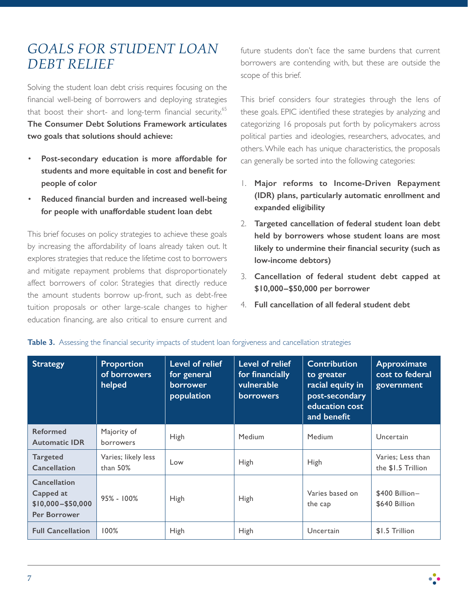# *GOALS FOR STUDENT LOAN DEBT RELIEF*

Solving the student loan debt crisis requires focusing on the financial well-being of borrowers and deploying strategies that boost their short- and long-term financial security.<sup>65</sup> **The Consumer Debt Solutions Framework articulates two goals that solutions should achieve:**

- **Post-secondary education is more affordable for students and more equitable in cost and benefit for people of color**
- **Reduced financial burden and increased well-being for people with unaffordable student loan debt**

This brief focuses on policy strategies to achieve these goals by increasing the affordability of loans already taken out. It explores strategies that reduce the lifetime cost to borrowers and mitigate repayment problems that disproportionately affect borrowers of color. Strategies that directly reduce the amount students borrow up-front, such as debt-free tuition proposals or other large-scale changes to higher education financing, are also critical to ensure current and

future students don't face the same burdens that current borrowers are contending with, but these are outside the scope of this brief.

This brief considers four strategies through the lens of these goals. EPIC identified these strategies by analyzing and categorizing 16 proposals put forth by policymakers across political parties and ideologies, researchers, advocates, and others. While each has unique characteristics, the proposals can generally be sorted into the following categories:

- 1. **Major reforms to Income-Driven Repayment (IDR) plans, particularly automatic enrollment and expanded eligibility**
- 2. **Targeted cancellation of federal student loan debt held by borrowers whose student loans are most likely to undermine their financial security (such as low-income debtors)**
- 3. **Cancellation of federal student debt capped at \$10,000–\$50,000 per borrower**
- 4. **Full cancellation of all federal student debt**

| <b>Strategy</b>                                                         | <b>Proportion</b><br>of borrowers<br>helped | Level of relief<br>for general<br>borrower<br>population | Level of relief<br>for financially<br>vulnerable<br><b>borrowers</b> | <b>Contribution</b><br>to greater<br>racial equity in<br>post-secondary<br>education cost<br>and benefit | Approximate<br>cost to federal<br>government |
|-------------------------------------------------------------------------|---------------------------------------------|----------------------------------------------------------|----------------------------------------------------------------------|----------------------------------------------------------------------------------------------------------|----------------------------------------------|
| <b>Reformed</b><br><b>Automatic IDR</b>                                 | Majority of<br>borrowers                    | <b>High</b>                                              | Medium                                                               | Medium                                                                                                   | Uncertain                                    |
| <b>Targeted</b><br>Cancellation                                         | Varies; likely less<br>than $50\%$          | Low                                                      | <b>High</b>                                                          | High                                                                                                     | Varies; Less than<br>the \$1.5 Trillion      |
| Cancellation<br>Capped at<br>$$10,000 - $50,000$<br><b>Per Borrower</b> | $95\% - 100\%$                              | <b>High</b>                                              | High                                                                 | Varies based on<br>the cap                                                                               | \$400 Billion-<br>\$640 Billion              |
| <b>Full Cancellation</b>                                                | 100%                                        | High                                                     | High                                                                 | Uncertain                                                                                                | \$1.5 Trillion                               |

**Table 3.** Assessing the financial security impacts of student loan forgiveness and cancellation strategies

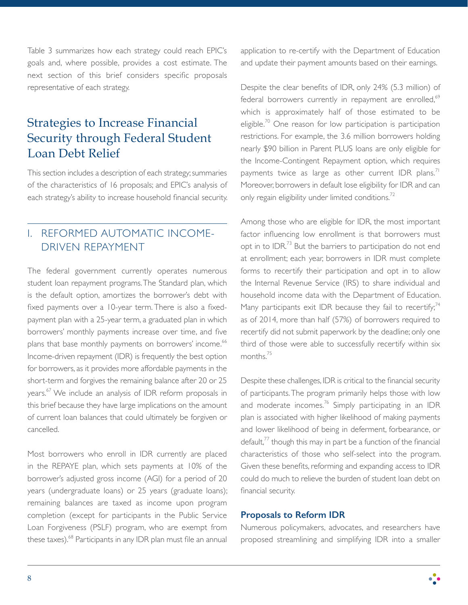Table 3 summarizes how each strategy could reach EPIC's goals and, where possible, provides a cost estimate. The next section of this brief considers specific proposals representative of each strategy.

# Strategies to Increase Financial Security through Federal Student Loan Debt Relief

This section includes a description of each strategy; summaries of the characteristics of 16 proposals; and EPIC's analysis of each strategy's ability to increase household financial security.

# I. REFORMED AUTOMATIC INCOME-DRIVEN REPAYMENT

The federal government currently operates numerous student loan repayment programs. The Standard plan, which is the default option, amortizes the borrower's debt with fixed payments over a 10-year term. There is also a fixedpayment plan with a 25-year term, a graduated plan in which borrowers' monthly payments increase over time, and five plans that base monthly payments on borrowers' income.<sup>66</sup> Income-driven repayment (IDR) is frequently the best option for borrowers, as it provides more affordable payments in the short-term and forgives the remaining balance after 20 or 25 years.<sup>67</sup> We include an analysis of IDR reform proposals in this brief because they have large implications on the amount of current loan balances that could ultimately be forgiven or cancelled.

Most borrowers who enroll in IDR currently are placed in the REPAYE plan, which sets payments at 10% of the borrower's adjusted gross income (AGI) for a period of 20 years (undergraduate loans) or 25 years (graduate loans); remaining balances are taxed as income upon program completion (except for participants in the Public Service Loan Forgiveness (PSLF) program, who are exempt from these taxes).<sup>68</sup> Participants in any IDR plan must file an annual application to re-certify with the Department of Education and update their payment amounts based on their earnings.

Despite the clear benefits of IDR, only 24% (5.3 million) of federal borrowers currently in repayment are enrolled,<sup>69</sup> which is approximately half of those estimated to be eligible.<sup>70</sup> One reason for low participation is participation restrictions. For example, the 3.6 million borrowers holding nearly \$90 billion in Parent PLUS loans are only eligible for the Income-Contingent Repayment option, which requires payments twice as large as other current IDR plans.<sup>71</sup> Moreover, borrowers in default lose eligibility for IDR and can only regain eligibility under limited conditions.<sup>72</sup>

Among those who are eligible for IDR, the most important factor influencing low enrollment is that borrowers must opt in to IDR.<sup>73</sup> But the barriers to participation do not end at enrollment; each year, borrowers in IDR must complete forms to recertify their participation and opt in to allow the Internal Revenue Service (IRS) to share individual and household income data with the Department of Education. Many participants exit IDR because they fail to recertify; $74$ as of 2014, more than half (57%) of borrowers required to recertify did not submit paperwork by the deadline; only one third of those were able to successfully recertify within six months.<sup>75</sup>

Despite these challenges, IDR is critical to the financial security of participants. The program primarily helps those with low and moderate incomes.<sup>76</sup> Simply participating in an IDR plan is associated with higher likelihood of making payments and lower likelihood of being in deferment, forbearance, or default, $^{77}$  though this may in part be a function of the financial characteristics of those who self-select into the program. Given these benefits, reforming and expanding access to IDR could do much to relieve the burden of student loan debt on financial security.

#### **Proposals to Reform IDR**

Numerous policymakers, advocates, and researchers have proposed streamlining and simplifying IDR into a smaller

 $\ddot{\bullet}$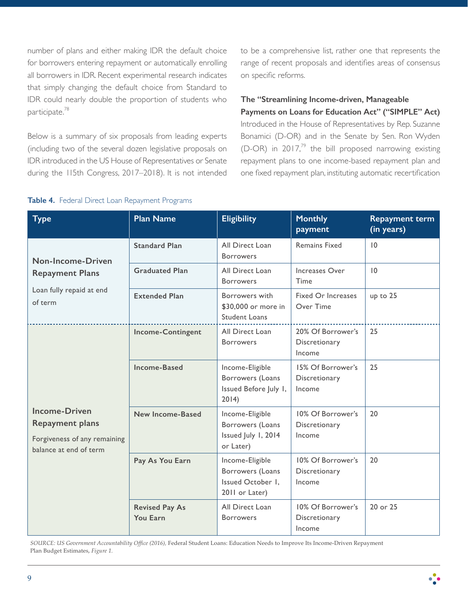number of plans and either making IDR the default choice for borrowers entering repayment or automatically enrolling all borrowers in IDR. Recent experimental research indicates that simply changing the default choice from Standard to IDR could nearly double the proportion of students who participate.<sup>78</sup>

Below is a summary of six proposals from leading experts (including two of the several dozen legislative proposals on IDR introduced in the US House of Representatives or Senate during the 115th Congress, 2017–2018). It is not intended to be a comprehensive list, rather one that represents the range of recent proposals and identifies areas of consensus on specific reforms.

# **The "Streamlining Income-driven, Manageable**

**Payments on Loans for Education Act" ("SIMPLE" Act)** Introduced in the House of Representatives by Rep. Suzanne Bonamici (D-OR) and in the Senate by Sen. Ron Wyden (D-OR) in 2017,<sup>79</sup> the bill proposed narrowing existing repayment plans to one income-based repayment plan and one fixed repayment plan, instituting automatic recertification

#### **Table 4.** Federal Direct Loan Repayment Programs

| <b>Type</b>                                                                                              | <b>Plan Name</b>                  | <b>Eligibility</b>                                                         | <b>Monthly</b><br>payment                    | <b>Repayment term</b><br>(in years) |
|----------------------------------------------------------------------------------------------------------|-----------------------------------|----------------------------------------------------------------------------|----------------------------------------------|-------------------------------------|
| Non-Income-Driven<br><b>Repayment Plans</b><br>Loan fully repaid at end<br>of term                       | <b>Standard Plan</b>              | All Direct Loan<br><b>Borrowers</b>                                        | <b>Remains Fixed</b>                         | 10                                  |
|                                                                                                          | <b>Graduated Plan</b>             | All Direct Loan<br><b>Borrowers</b>                                        | Increases Over<br>Time                       | 10                                  |
|                                                                                                          | <b>Extended Plan</b>              | Borrowers with<br>\$30,000 or more in<br><b>Student Loans</b>              | Fixed Or Increases<br>Over Time              | up to 25                            |
|                                                                                                          | <b>Income-Contingent</b>          | All Direct Loan<br><b>Borrowers</b>                                        | 20% Of Borrower's<br>Discretionary<br>Income | 25                                  |
|                                                                                                          | <b>Income-Based</b>               | Income-Eligible<br>Borrowers (Loans<br>Issued Before July I,<br>2014)      | 15% Of Borrower's<br>Discretionary<br>Income | 25                                  |
| <b>Income-Driven</b><br><b>Repayment plans</b><br>Forgiveness of any remaining<br>balance at end of term | <b>New Income-Based</b>           | Income-Eligible<br>Borrowers (Loans<br>Issued July 1, 2014<br>or Later)    | 10% Of Borrower's<br>Discretionary<br>Income | 20                                  |
|                                                                                                          | Pay As You Earn                   | Income-Eligible<br>Borrowers (Loans<br>Issued October I,<br>2011 or Later) | 10% Of Borrower's<br>Discretionary<br>Income | 20                                  |
|                                                                                                          | <b>Revised Pay As</b><br>You Earn | All Direct Loan<br><b>Borrowers</b>                                        | 10% Of Borrower's<br>Discretionary<br>Income | 20 or 25                            |

*SOURCE: US Government Accountability Office (2016),* Federal Student Loans: Education Needs to Improve Its Income-Driven Repayment Plan Budget Estimates, *Figure 1.*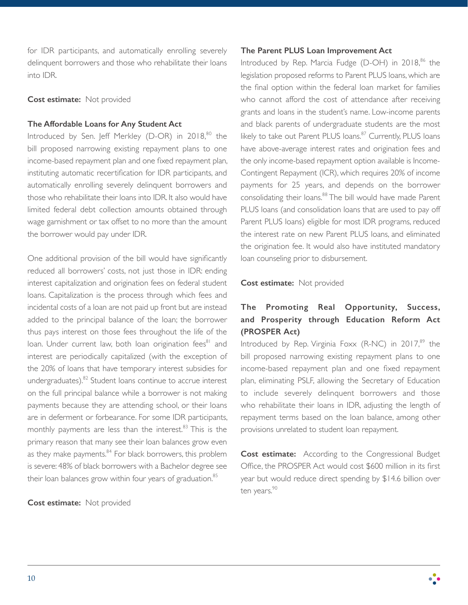for IDR participants, and automatically enrolling severely delinquent borrowers and those who rehabilitate their loans into IDR.

#### **Cost estimate:** Not provided

#### **The Affordable Loans for Any Student Act**

Introduced by Sen. Jeff Merkley (D-OR) in  $2018$ ,  $80$  the bill proposed narrowing existing repayment plans to one income-based repayment plan and one fixed repayment plan, instituting automatic recertification for IDR participants, and automatically enrolling severely delinquent borrowers and those who rehabilitate their loans into IDR. It also would have limited federal debt collection amounts obtained through wage garnishment or tax offset to no more than the amount the borrower would pay under IDR.

One additional provision of the bill would have significantly reduced all borrowers' costs, not just those in IDR: ending interest capitalization and origination fees on federal student loans. Capitalization is the process through which fees and incidental costs of a loan are not paid up front but are instead added to the principal balance of the loan; the borrower thus pays interest on those fees throughout the life of the loan. Under current law, both loan origination fees<sup>81</sup> and interest are periodically capitalized (with the exception of the 20% of loans that have temporary interest subsidies for undergraduates). $82$  Student loans continue to accrue interest on the full principal balance while a borrower is not making payments because they are attending school, or their loans are in deferment or forbearance. For some IDR participants, monthly payments are less than the interest.<sup>83</sup> This is the primary reason that many see their loan balances grow even as they make payments. $84$  For black borrowers, this problem is severe: 48% of black borrowers with a Bachelor degree see their loan balances grow within four years of graduation.<sup>85</sup>

**Cost estimate:** Not provided

#### **The Parent PLUS Loan Improvement Act**

Introduced by Rep. Marcia Fudge ( $D$ - $OH$ ) in 2018, $86$  the legislation proposed reforms to Parent PLUS loans, which are the final option within the federal loan market for families who cannot afford the cost of attendance after receiving grants and loans in the student's name. Low-income parents and black parents of undergraduate students are the most likely to take out Parent PLUS loans.<sup>87</sup> Currently, PLUS loans have above-average interest rates and origination fees and the only income-based repayment option available is Income-Contingent Repayment (ICR), which requires 20% of income payments for 25 years, and depends on the borrower consolidating their loans.<sup>88</sup> The bill would have made Parent PLUS loans (and consolidation loans that are used to pay off Parent PLUS loans) eligible for most IDR programs, reduced the interest rate on new Parent PLUS loans, and eliminated the origination fee. It would also have instituted mandatory loan counseling prior to disbursement.

#### **Cost estimate:** Not provided

# **The Promoting Real Opportunity, Success, and Prosperity through Education Reform Act (PROSPER Act)**

Introduced by Rep. Virginia Foxx (R-NC) in  $2017$ ,<sup>89</sup> the bill proposed narrowing existing repayment plans to one income-based repayment plan and one fixed repayment plan, eliminating PSLF, allowing the Secretary of Education to include severely delinquent borrowers and those who rehabilitate their loans in IDR, adjusting the length of repayment terms based on the loan balance, among other provisions unrelated to student loan repayment.

**Cost estimate:** According to the Congressional Budget Office, the PROSPER Act would cost \$600 million in its first year but would reduce direct spending by \$14.6 billion over ten years.<sup>90</sup>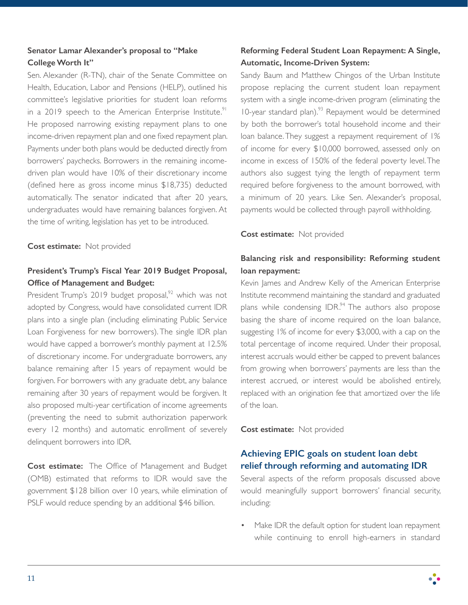### **Senator Lamar Alexander's proposal to "Make College Worth It"**

Sen. Alexander (R-TN), chair of the Senate Committee on Health, Education, Labor and Pensions (HELP), outlined his committee's legislative priorities for student loan reforms in a 2019 speech to the American Enterprise Institute.<sup>91</sup> He proposed narrowing existing repayment plans to one income-driven repayment plan and one fixed repayment plan. Payments under both plans would be deducted directly from borrowers' paychecks. Borrowers in the remaining incomedriven plan would have 10% of their discretionary income (defined here as gross income minus \$18,735) deducted automatically. The senator indicated that after 20 years, undergraduates would have remaining balances forgiven. At the time of writing, legislation has yet to be introduced.

#### **Cost estimate:** Not provided

### **President's Trump's Fiscal Year 2019 Budget Proposal, Office of Management and Budget:**

President Trump's 2019 budget proposal, $92$  which was not adopted by Congress, would have consolidated current IDR plans into a single plan (including eliminating Public Service Loan Forgiveness for new borrowers). The single IDR plan would have capped a borrower's monthly payment at 12.5% of discretionary income. For undergraduate borrowers, any balance remaining after 15 years of repayment would be forgiven. For borrowers with any graduate debt, any balance remaining after 30 years of repayment would be forgiven. It also proposed multi-year certification of income agreements (preventing the need to submit authorization paperwork every 12 months) and automatic enrollment of severely delinquent borrowers into IDR.

**Cost estimate:** The Office of Management and Budget (OMB) estimated that reforms to IDR would save the government \$128 billion over 10 years, while elimination of PSLF would reduce spending by an additional \$46 billion.

### **Reforming Federal Student Loan Repayment: A Single, Automatic, Income-Driven System:**

Sandy Baum and Matthew Chingos of the Urban Institute propose replacing the current student loan repayment system with a single income-driven program (eliminating the 10-year standard plan).<sup>93</sup> Repayment would be determined by both the borrower's total household income and their loan balance. They suggest a repayment requirement of 1% of income for every \$10,000 borrowed, assessed only on income in excess of 150% of the federal poverty level. The authors also suggest tying the length of repayment term required before forgiveness to the amount borrowed, with a minimum of 20 years. Like Sen. Alexander's proposal, payments would be collected through payroll withholding.

#### **Cost estimate:** Not provided

### **Balancing risk and responsibility: Reforming student loan repayment:**

Kevin James and Andrew Kelly of the American Enterprise Institute recommend maintaining the standard and graduated plans while condensing  $IDR<sup>94</sup>$ . The authors also propose basing the share of income required on the loan balance, suggesting 1% of income for every \$3,000, with a cap on the total percentage of income required. Under their proposal, interest accruals would either be capped to prevent balances from growing when borrowers' payments are less than the interest accrued, or interest would be abolished entirely, replaced with an origination fee that amortized over the life of the loan.

**Cost estimate:** Not provided

# **Achieving EPIC goals on student loan debt relief through reforming and automating IDR**

Several aspects of the reform proposals discussed above would meaningfully support borrowers' financial security, including:

Make IDR the default option for student loan repayment while continuing to enroll high-earners in standard

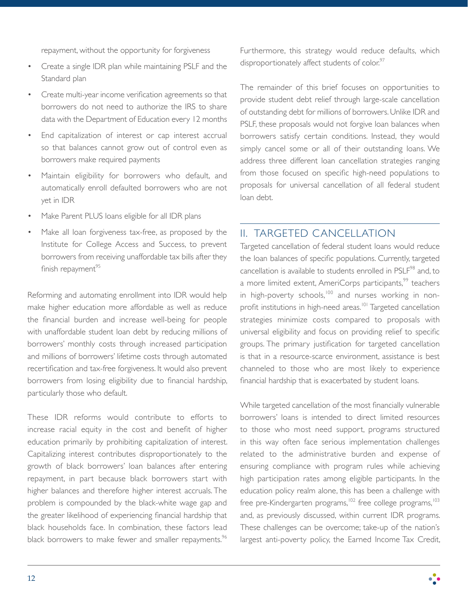repayment, without the opportunity for forgiveness

- Create a single IDR plan while maintaining PSLF and the Standard plan
- Create multi-year income verification agreements so that borrowers do not need to authorize the IRS to share data with the Department of Education every 12 months
- End capitalization of interest or cap interest accrual so that balances cannot grow out of control even as borrowers make required payments
- Maintain eligibility for borrowers who default, and automatically enroll defaulted borrowers who are not yet in IDR
- Make Parent PLUS loans eligible for all IDR plans
- Make all loan forgiveness tax-free, as proposed by the Institute for College Access and Success, to prevent borrowers from receiving unaffordable tax bills after they finish repayment $95$

Reforming and automating enrollment into IDR would help make higher education more affordable as well as reduce the financial burden and increase well-being for people with unaffordable student loan debt by reducing millions of borrowers' monthly costs through increased participation and millions of borrowers' lifetime costs through automated recertification and tax-free forgiveness. It would also prevent borrowers from losing eligibility due to financial hardship, particularly those who default.

These IDR reforms would contribute to efforts to increase racial equity in the cost and benefit of higher education primarily by prohibiting capitalization of interest. Capitalizing interest contributes disproportionately to the growth of black borrowers' loan balances after entering repayment, in part because black borrowers start with higher balances and therefore higher interest accruals. The problem is compounded by the black-white wage gap and the greater likelihood of experiencing financial hardship that black households face. In combination, these factors lead black borrowers to make fewer and smaller repayments.<sup>96</sup>

Furthermore, this strategy would reduce defaults, which disproportionately affect students of color.<sup>97</sup>

The remainder of this brief focuses on opportunities to provide student debt relief through large-scale cancellation of outstanding debt for millions of borrowers. Unlike IDR and PSLF, these proposals would not forgive loan balances when borrowers satisfy certain conditions. Instead, they would simply cancel some or all of their outstanding loans. We address three different loan cancellation strategies ranging from those focused on specific high-need populations to proposals for universal cancellation of all federal student loan debt.

# II. TARGETED CANCELLATION

Targeted cancellation of federal student loans would reduce the loan balances of specific populations. Currently, targeted cancellation is available to students enrolled in PSLF<sup>98</sup> and, to a more limited extent, AmeriCorps participants,<sup>99</sup> teachers in high-poverty schools,<sup>100</sup> and nurses working in nonprofit institutions in high-need areas.<sup>101</sup> Targeted cancellation strategies minimize costs compared to proposals with universal eligibility and focus on providing relief to specific groups. The primary justification for targeted cancellation is that in a resource-scarce environment, assistance is best channeled to those who are most likely to experience financial hardship that is exacerbated by student loans.

While targeted cancellation of the most financially vulnerable borrowers' loans is intended to direct limited resources to those who most need support, programs structured in this way often face serious implementation challenges related to the administrative burden and expense of ensuring compliance with program rules while achieving high participation rates among eligible participants. In the education policy realm alone, this has been a challenge with free pre-Kindergarten programs,<sup>102</sup> free college programs,<sup>103</sup> and, as previously discussed, within current IDR programs. These challenges can be overcome; take-up of the nation's largest anti-poverty policy, the Earned Income Tax Credit,

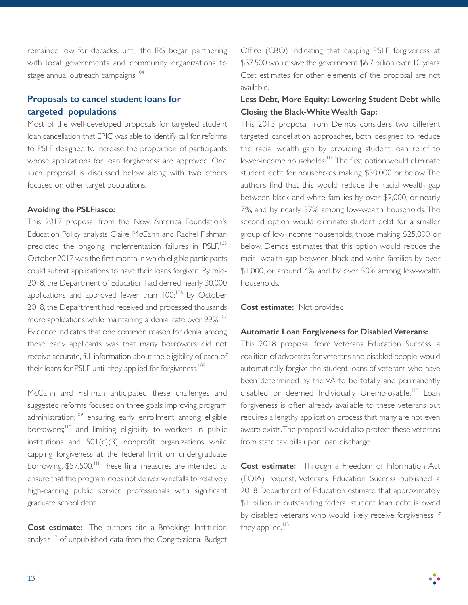remained low for decades, until the IRS began partnering with local governments and community organizations to stage annual outreach campaigns.<sup>104</sup>

# **Proposals to cancel student loans for targeted populations**

Most of the well-developed proposals for targeted student loan cancellation that EPIC was able to identify call for reforms to PSLF designed to increase the proportion of participants whose applications for loan forgiveness are approved. One such proposal is discussed below, along with two others focused on other target populations.

#### **Avoiding the PSLFiasco:**

This 2017 proposal from the New America Foundation's Education Policy analysts Claire McCann and Rachel Fishman predicted the ongoing implementation failures in PSLF.<sup>105</sup> October 2017 was the first month in which eligible participants could submit applications to have their loans forgiven. By mid-2018, the Department of Education had denied nearly 30,000 applications and approved fewer than  $100$ ;<sup>106</sup> by October 2018, the Department had received and processed thousands more applications while maintaining a denial rate over 99%.<sup>107</sup> Evidence indicates that one common reason for denial among these early applicants was that many borrowers did not receive accurate, full information about the eligibility of each of their loans for PSLF until they applied for forgiveness.<sup>108</sup>

McCann and Fishman anticipated these challenges and suggested reforms focused on three goals: improving program administration;<sup>109</sup> ensuring early enrollment among eligible borrowers;<sup>110</sup> and limiting eligibility to workers in public institutions and  $501(c)(3)$  nonprofit organizations while capping forgiveness at the federal limit on undergraduate borrowing, \$57,500.<sup>111</sup> These final measures are intended to ensure that the program does not deliver windfalls to relatively high-earning public service professionals with significant graduate school debt.

**Cost estimate:** The authors cite a Brookings Institution analysis<sup>112</sup> of unpublished data from the Congressional Budget Office (CBO) indicating that capping PSLF forgiveness at \$57,500 would save the government \$6.7 billion over 10 years. Cost estimates for other elements of the proposal are not available.

#### **Less Debt, More Equity: Lowering Student Debt while Closing the Black-White Wealth Gap:**

This 2015 proposal from Demos considers two different targeted cancellation approaches, both designed to reduce the racial wealth gap by providing student loan relief to lower-income households.<sup>113</sup> The first option would eliminate student debt for households making \$50,000 or below. The authors find that this would reduce the racial wealth gap between black and white families by over \$2,000, or nearly 7%, and by nearly 37% among low-wealth households. The second option would eliminate student debt for a smaller group of low-income households, those making \$25,000 or below. Demos estimates that this option would reduce the racial wealth gap between black and white families by over \$1,000, or around 4%, and by over 50% among low-wealth households.

#### **Cost estimate:** Not provided

#### **Automatic Loan Forgiveness for Disabled Veterans:**

This 2018 proposal from Veterans Education Success, a coalition of advocates for veterans and disabled people, would automatically forgive the student loans of veterans who have been determined by the VA to be totally and permanently disabled or deemed Individually Unemployable.<sup>114</sup> Loan forgiveness is often already available to these veterans but requires a lengthy application process that many are not even aware exists. The proposal would also protect these veterans from state tax bills upon loan discharge.

**Cost estimate:** Through a Freedom of Information Act (FOIA) request, Veterans Education Success published a 2018 Department of Education estimate that approximately \$1 billion in outstanding federal student loan debt is owed by disabled veterans who would likely receive forgiveness if they applied.<sup>115</sup>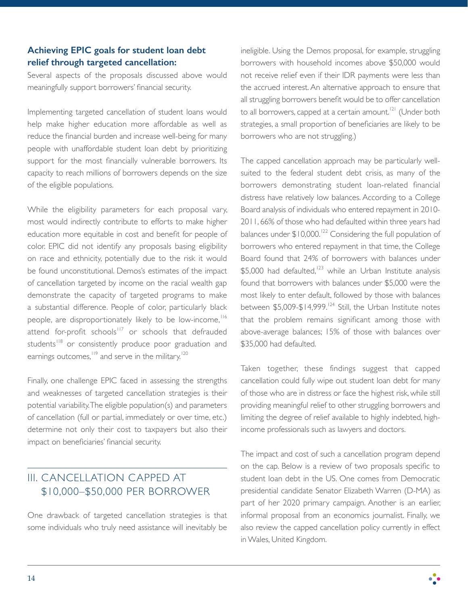# **Achieving EPIC goals for student loan debt relief through targeted cancellation:**

Several aspects of the proposals discussed above would meaningfully support borrowers' financial security.

Implementing targeted cancellation of student loans would help make higher education more affordable as well as reduce the financial burden and increase well-being for many people with unaffordable student loan debt by prioritizing support for the most financially vulnerable borrowers. Its capacity to reach millions of borrowers depends on the size of the eligible populations.

While the eligibility parameters for each proposal vary, most would indirectly contribute to efforts to make higher education more equitable in cost and benefit for people of color. EPIC did not identify any proposals basing eligibility on race and ethnicity, potentially due to the risk it would be found unconstitutional. Demos's estimates of the impact of cancellation targeted by income on the racial wealth gap demonstrate the capacity of targeted programs to make a substantial difference. People of color, particularly black people, are disproportionately likely to be low-income,<sup>116</sup> attend for-profit schools<sup>117</sup> or schools that defrauded students<sup>118</sup> or consistently produce poor graduation and earnings outcomes,<sup>119</sup> and serve in the military.<sup>120</sup>

Finally, one challenge EPIC faced in assessing the strengths and weaknesses of targeted cancellation strategies is their potential variability. The eligible population(s) and parameters of cancellation (full or partial, immediately or over time, etc.) determine not only their cost to taxpayers but also their impact on beneficiaries' financial security.

# III. CANCELLATION CAPPED AT \$10,000–\$50,000 PER BORROWER

One drawback of targeted cancellation strategies is that some individuals who truly need assistance will inevitably be

ineligible. Using the Demos proposal, for example, struggling borrowers with household incomes above \$50,000 would not receive relief even if their IDR payments were less than the accrued interest. An alternative approach to ensure that all struggling borrowers benefit would be to offer cancellation to all borrowers, capped at a certain amount.<sup>121</sup> (Under both strategies, a small proportion of beneficiaries are likely to be borrowers who are not struggling.)

The capped cancellation approach may be particularly wellsuited to the federal student debt crisis, as many of the borrowers demonstrating student loan-related financial distress have relatively low balances. According to a College Board analysis of individuals who entered repayment in 2010- 2011, 66% of those who had defaulted within three years had balances under  $$10,000$ .<sup>122</sup> Considering the full population of borrowers who entered repayment in that time, the College Board found that 24% of borrowers with balances under  $$5,000$  had defaulted,<sup>123</sup> while an Urban Institute analysis found that borrowers with balances under \$5,000 were the most likely to enter default, followed by those with balances between  $$5,009-$14,999.<sup>124</sup>$  Still, the Urban Institute notes that the problem remains significant among those with above-average balances; 15% of those with balances over \$35,000 had defaulted.

Taken together, these findings suggest that capped cancellation could fully wipe out student loan debt for many of those who are in distress or face the highest risk, while still providing meaningful relief to other struggling borrowers and limiting the degree of relief available to highly indebted, highincome professionals such as lawyers and doctors.

The impact and cost of such a cancellation program depend on the cap. Below is a review of two proposals specific to student loan debt in the US. One comes from Democratic presidential candidate Senator Elizabeth Warren (D-MA) as part of her 2020 primary campaign. Another is an earlier, informal proposal from an economics journalist. Finally, we also review the capped cancellation policy currently in effect in Wales, United Kingdom.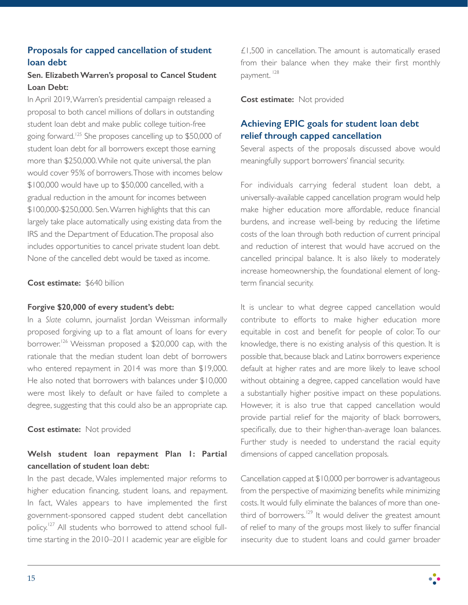# **Proposals for capped cancellation of student loan debt**

### **Sen. Elizabeth Warren's proposal to Cancel Student Loan Debt:**

In April 2019, Warren's presidential campaign released a proposal to both cancel millions of dollars in outstanding student loan debt and make public college tuition-free going forward.125 She proposes cancelling up to \$50,000 of student loan debt for all borrowers except those earning more than \$250,000. While not quite universal, the plan would cover 95% of borrowers. Those with incomes below \$100,000 would have up to \$50,000 cancelled, with a gradual reduction in the amount for incomes between \$100,000-\$250,000. Sen. Warren highlights that this can largely take place automatically using existing data from the IRS and the Department of Education. The proposal also includes opportunities to cancel private student loan debt. None of the cancelled debt would be taxed as income.

#### **Cost estimate:** \$640 billion

#### **Forgive \$20,000 of every student's debt:**

In a *Slate* column, journalist Jordan Weissman informally proposed forgiving up to a flat amount of loans for every borrower.<sup>126</sup> Weissman proposed a \$20,000 cap, with the rationale that the median student loan debt of borrowers who entered repayment in 2014 was more than \$19,000. He also noted that borrowers with balances under \$10,000 were most likely to default or have failed to complete a degree, suggesting that this could also be an appropriate cap.

#### **Cost estimate:** Not provided

### **Welsh student loan repayment Plan 1: Partial cancellation of student loan debt:**

In the past decade, Wales implemented major reforms to higher education financing, student loans, and repayment. In fact, Wales appears to have implemented the first government-sponsored capped student debt cancellation policy.<sup>127</sup> All students who borrowed to attend school fulltime starting in the 2010–2011 academic year are eligible for

£1,500 in cancellation. The amount is automatically erased from their balance when they make their first monthly payment.<sup>128</sup>

**Cost estimate:** Not provided

# **Achieving EPIC goals for student loan debt relief through capped cancellation**

Several aspects of the proposals discussed above would meaningfully support borrowers' financial security.

For individuals carrying federal student loan debt, a universally-available capped cancellation program would help make higher education more affordable, reduce financial burdens, and increase well-being by reducing the lifetime costs of the loan through both reduction of current principal and reduction of interest that would have accrued on the cancelled principal balance. It is also likely to moderately increase homeownership, the foundational element of longterm financial security.

It is unclear to what degree capped cancellation would contribute to efforts to make higher education more equitable in cost and benefit for people of color. To our knowledge, there is no existing analysis of this question. It is possible that, because black and Latinx borrowers experience default at higher rates and are more likely to leave school without obtaining a degree, capped cancellation would have a substantially higher positive impact on these populations. However, it is also true that capped cancellation would provide partial relief for the majority of black borrowers, specifically, due to their higher-than-average loan balances. Further study is needed to understand the racial equity dimensions of capped cancellation proposals.

Cancellation capped at \$10,000 per borrower is advantageous from the perspective of maximizing benefits while minimizing costs. It would fully eliminate the balances of more than onethird of borrowers.<sup>129</sup> It would deliver the greatest amount of relief to many of the groups most likely to suffer financial insecurity due to student loans and could garner broader

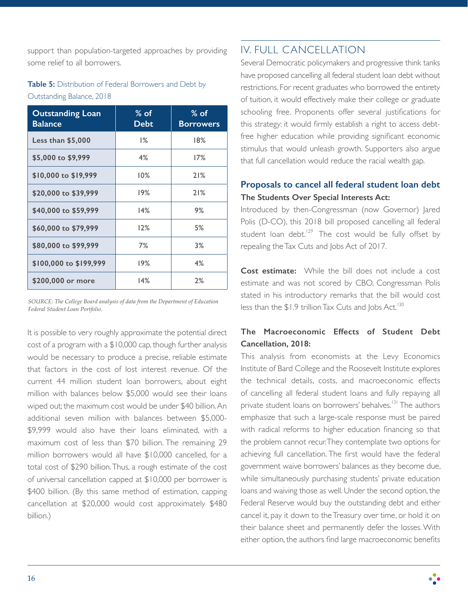support than population-targeted approaches by providing some relief to all borrowers.

# **Table 5:** Distribution of Federal Borrowers and Debt by Outstanding Balance, 2018

| <b>Outstanding Loan</b><br><b>Balance</b> | $%$ of<br>Debt | $%$ of<br><b>Borrowers</b> |
|-------------------------------------------|----------------|----------------------------|
| Less than $$5,000$                        | 1%             | 18%                        |
| \$5,000 to \$9,999                        | 4%             | 17%                        |
| \$10,000 to \$19,999                      | 10%            | 21%                        |
| \$20,000 to \$39,999                      | 19%            | 21%                        |
| \$40,000 to \$59,999                      | 14%            | 9%                         |
| \$60,000 to \$79,999                      | 12%            | 5%                         |
| \$80,000 to \$99,999                      | 7%             | 3%                         |
| \$100,000 to \$199,999                    | 19%            | 4%                         |
| \$200,000 or more                         | 14%            | 2%                         |

*SOURCE: The College Board analysis of data from the Department of Education Federal Student Loan Portfolio.*

It is possible to very roughly approximate the potential direct cost of a program with a \$10,000 cap, though further analysis would be necessary to produce a precise, reliable estimate that factors in the cost of lost interest revenue. Of the current 44 million student loan borrowers, about eight million with balances below \$5,000 would see their loans wiped out; the maximum cost would be under \$40 billion. An additional seven million with balances between \$5,000- \$9,999 would also have their loans eliminated, with a maximum cost of less than \$70 billion. The remaining 29 million borrowers would all have \$10,000 cancelled, for a total cost of \$290 billion. Thus, a rough estimate of the cost of universal cancellation capped at \$10,000 per borrower is \$400 billion. (By this same method of estimation, capping cancellation at \$20,000 would cost approximately \$480 billion.)

# IV. FULL CANCELLATION

Several Democratic policymakers and progressive think tanks have proposed cancelling all federal student loan debt without restrictions. For recent graduates who borrowed the entirety of tuition, it would effectively make their college or graduate schooling free. Proponents offer several justifications for this strategy: it would firmly establish a right to access debtfree higher education while providing significant economic stimulus that would unleash growth. Supporters also argue that full cancellation would reduce the racial wealth gap.

# **Proposals to cancel all federal student loan debt The Students Over Special Interests Act:**

Introduced by then-Congressman (now Governor) Jared Polis (D-CO), this 2018 bill proposed cancelling all federal student loan debt.<sup>129</sup> The cost would be fully offset by repealing the Tax Cuts and Jobs Act of 2017.

**Cost estimate:** While the bill does not include a cost estimate and was not scored by CBO, Congressman Polis stated in his introductory remarks that the bill would cost less than the \$1.9 trillion Tax Cuts and Jobs Act.<sup>130</sup>

### **The Macroeconomic Effects of Student Debt Cancellation, 2018:**

This analysis from economists at the Levy Economics Institute of Bard College and the Roosevelt Institute explores the technical details, costs, and macroeconomic effects of cancelling all federal student loans and fully repaying all private student loans on borrowers' behalves.<sup>131</sup> The authors emphasize that such a large-scale response must be paired with radical reforms to higher education financing so that the problem cannot recur. They contemplate two options for achieving full cancellation. The first would have the federal government waive borrowers' balances as they become due, while simultaneously purchasing students' private education loans and waiving those as well. Under the second option, the Federal Reserve would buy the outstanding debt and either cancel it, pay it down to the Treasury over time, or hold it on their balance sheet and permanently defer the losses. With either option, the authors find large macroeconomic benefits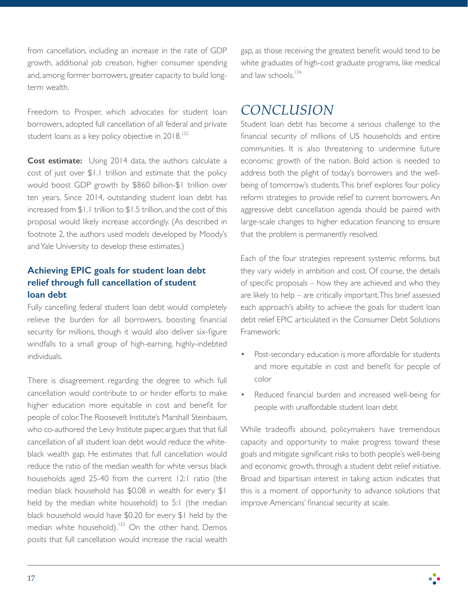from cancellation, including an increase in the rate of GDP growth, additional job creation, higher consumer spending and, among former borrowers, greater capacity to build longterm wealth.

Freedom to Prosper, which advocates for student loan borrowers, adopted full cancellation of all federal and private student loans as a key policy objective in 2018.<sup>132</sup>

**Cost estimate:** Using 2014 data, the authors calculate a cost of just over \$1.1 trillion and estimate that the policy would boost GDP growth by \$860 billion-\$1 trillion over ten years. Since 2014, outstanding student loan debt has increased from \$1.1 trillion to \$1.5 trillion, and the cost of this proposal would likely increase accordingly. (As described in footnote 2, the authors used models developed by Moody's and Yale University to develop these estimates.)

# **Achieving EPIC goals for student loan debt relief through full cancellation of student loan debt**

Fully cancelling federal student loan debt would completely relieve the burden for all borrowers, boosting financial security for millions, though it would also deliver six-figure windfalls to a small group of high-earning, highly-indebted individuals.

There is disagreement regarding the degree to which full cancellation would contribute to or hinder efforts to make higher education more equitable in cost and benefit for people of color. The Roosevelt Institute's Marshall Steinbaum, who co-authored the Levy Institute paper, argues that that full cancellation of all student loan debt would reduce the whiteblack wealth gap. He estimates that full cancellation would reduce the ratio of the median wealth for white versus black households aged 25-40 from the current 12:1 ratio (the median black household has \$0.08 in wealth for every \$1 held by the median white household) to 5:1 (the median black household would have \$0.20 for every \$1 held by the median white household).<sup>133</sup> On the other hand, Demos posits that full cancellation would increase the racial wealth

gap, as those receiving the greatest benefit would tend to be white graduates of high-cost graduate programs, like medical and law schools.<sup>134</sup>

# *CONCLUSION*

Student loan debt has become a serious challenge to the financial security of millions of US households and entire communities. It is also threatening to undermine future economic growth of the nation. Bold action is needed to address both the plight of today's borrowers and the wellbeing of tomorrow's students. This brief explores four policy reform strategies to provide relief to current borrowers. An aggressive debt cancellation agenda should be paired with large-scale changes to higher education financing to ensure that the problem is permanently resolved.

Each of the four strategies represent systemic reforms, but they vary widely in ambition and cost. Of course, the details of specific proposals – how they are achieved and who they are likely to help – are critically important. This brief assessed each approach's ability to achieve the goals for student loan debt relief EPIC articulated in the Consumer Debt Solutions Framework:

- Post-secondary education is more affordable for students and more equitable in cost and benefit for people of color
- Reduced financial burden and increased well-being for people with unaffordable student loan debt

While tradeoffs abound, policymakers have tremendous capacity and opportunity to make progress toward these goals and mitigate significant risks to both people's well-being and economic growth, through a student debt relief initiative. Broad and bipartisan interest in taking action indicates that this is a moment of opportunity to advance solutions that improve Americans' financial security at scale.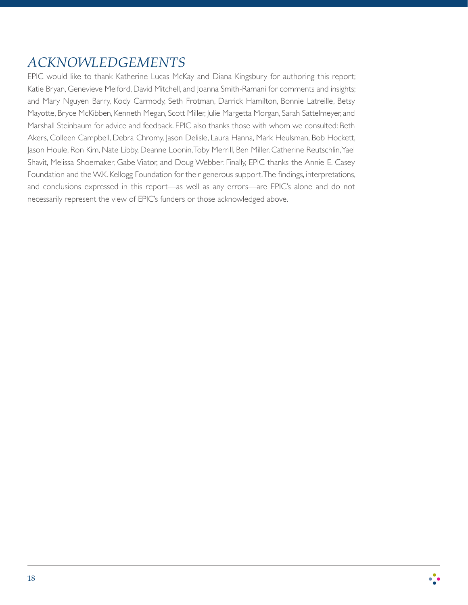# *ACKNOWLEDGEMENTS*

EPIC would like to thank Katherine Lucas McKay and Diana Kingsbury for authoring this report; Katie Bryan, Genevieve Melford, David Mitchell, and Joanna Smith-Ramani for comments and insights; and Mary Nguyen Barry, Kody Carmody, Seth Frotman, Darrick Hamilton, Bonnie Latreille, Betsy Mayotte, Bryce McKibben, Kenneth Megan, Scott Miller, Julie Margetta Morgan, Sarah Sattelmeyer, and Marshall Steinbaum for advice and feedback. EPIC also thanks those with whom we consulted: Beth Akers, Colleen Campbell, Debra Chromy, Jason Delisle, Laura Hanna, Mark Heulsman, Bob Hockett, Jason Houle, Ron Kim, Nate Libby, Deanne Loonin, Toby Merrill, Ben Miller, Catherine Reutschlin, Yael Shavit, Melissa Shoemaker, Gabe Viator, and Doug Webber. Finally, EPIC thanks the Annie E. Casey Foundation and the W.K. Kellogg Foundation for their generous support. The findings, interpretations, and conclusions expressed in this report—as well as any errors—are EPIC's alone and do not necessarily represent the view of EPIC's funders or those acknowledged above.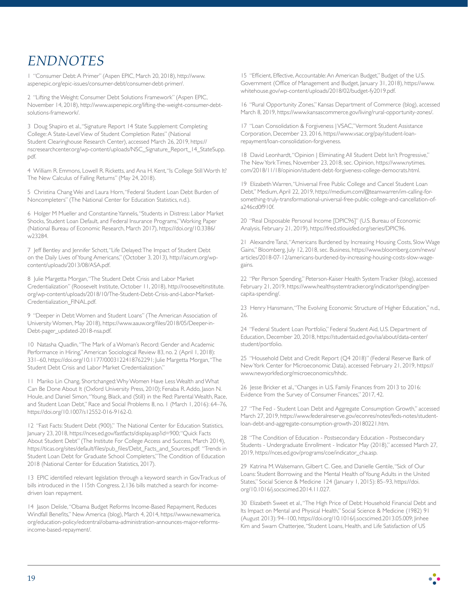# *ENDNOTES*

1 "Consumer Debt: A Primer" (Aspen EPIC, March 20, 2018), http://www. aspenepic.org/epic-issues/consumer-debt/consumer-debt-primer/.

2 "Lifting the Weight: Consumer Debt Solutions Framework" (Aspen EPIC, November 14, 2018), http://www.aspenepic.org/lifting-the-weight-consumer-debtsolutions-framework/.

3 Doug Shapiro et al., "Signature Report 14 State Supplement: Completing College: A State-Level View of Student Completion Rates" (National Student Clearinghouse Research Center), accessed March 26, 2019, https:// nscresearchcenter.org/wp-content/uploads/NSC\_Signature\_Report\_14\_StateSupp. pdf.

4 William R. Emmons, Lowell R. Ricketts, and Ana H. Kent, "Is College Still Worth It? The New Calculus of Falling Returns" (May 24, 2018).

5 Christina Chang Wei and Laura Horn, "Federal Student Loan Debt Burden of Noncompleters" (The National Center for Education Statistics, n.d.).

6 Holger M Mueller and Constantine Yannelis, "Students in Distress: Labor Market Shocks, Student Loan Default, and Federal Insurance Programs," Working Paper (National Bureau of Economic Research, March 2017), https://doi.org/10.3386/ w23284.

7 Jeff Bentley and Jennifer Schott, "Life Delayed: The Impact of Student Debt on the Daily Lives of Young Americans," (October 3, 2013), http://aicum.org/wpcontent/uploads/2013/08/ASA.pdf.

8 Julie Margetta Morgan, "The Student Debt Crisis and Labor Market Credentialization" (Roosevelt Institute, October 11, 2018), http://rooseveltinstitute. org/wp-content/uploads/2018/10/The-Student-Debt-Crisis-and-Labor-Market-Credentialization\_FINAL.pdf.

9 "Deeper in Debt: Women and Student Loans" (The American Association of University Women, May 2018), https://www.aauw.org/files/2018/05/Deeper-in-Debt-pager\_updated-2018-nsa.pdf.

10 Natasha Quadlin, "The Mark of a Woman's Record: Gender and Academic Performance in Hiring," American Sociological Review 83, no. 2 (April 1, 2018): 331–60, https://doi.org/10.1177/0003122418762291; Julie Margetta Morgan, "The Student Debt Crisis and Labor Market Credentialization."

11 Mariko Lin Chang, Shortchanged: Why Women Have Less Wealth and What Can Be Done About It (Oxford University Press, 2010); Fenaba R. Addo, Jason N. Houle, and Daniel Simon, "Young, Black, and (Still) in the Red: Parental Wealth, Race, and Student Loan Debt," Race and Social Problems 8, no. 1 (March 1, 2016): 64–76, https://doi.org/10.1007/s12552-016-9162-0.

12 "Fast Facts: Student Debt (900)," The National Center for Education Statistics, January 23, 2018, https://nces.ed.gov/fastfacts/display.asp?id=900; "Quick Facts About Student Debt" (The Institute For College Access and Success, March 2014), https://ticas.org/sites/default/files/pub\_files/Debt\_Facts\_and\_Sources.pdf; "Trends in Student Loan Debt for Graduate School Completers," The Condition of Education 2018 (National Center for Education Statistics, 2017).

13 EPIC identified relevant legislation through a keyword search in GovTrack.us of bills introduced in the 115th Congress. 2,136 bills matched a search for incomedriven loan repayment.

14 Jason Delisle, "Obama Budget Reforms Income-Based Repayment, Reduces Windfall Benefits," New America (blog), March 4, 2014, https://www.newamerica. org/education-policy/edcentral/obama-administration-announces-major-reformsincome-based-repayment/.

15 "Efficient, Effective, Accountable: An American Budget," Budget of the U.S. Government (Office of Management and Budget, January 31, 2018), https://www. whitehouse.gov/wp-content/uploads/2018/02/budget-fy2019.pdf.

16 "Rural Opportunity Zones," Kansas Department of Commerce (blog), accessed March 8, 2019, https://www.kansascommerce.gov/living/rural-opportunity-zones/.

17 "Loan Consolidation & Forgiveness | VSAC," Vermont Student Assistance Corporation, December 23, 2016, https://www.vsac.org/pay/student-loanrepayment/loan-consolidation-forgiveness.

18 David Leonhardt, "Opinion | Eliminating All Student Debt Isn't Progressive," The New York Times, November 23, 2018, sec. Opinion, https://www.nytimes. com/2018/11/18/opinion/student-debt-forgiveness-college-democrats.html.

19 Elizabeth Warren, "Universal Free Public College and Cancel Student Loan Debt," Medium, April 22, 2019, https://medium.com/@teamwarren/im-calling-forsomething-truly-transformational-universal-free-public-college-and-cancellation-ofa246cd0f910f.

20 "Real Disposable Personal Income [DPIC96]" (U.S. Bureau of Economic Analysis, February 21, 2019), https://fred.stlouisfed.org/series/DPIC96.

21 Alexandre Tanzi, "Americans Burdened by Increasing Housing Costs, Slow Wage Gains," Bloomberg, July 12, 2018, sec. Business, https://www.bloomberg.com/news/ articles/2018-07-12/americans-burdened-by-increasing-housing-costs-slow-wagegains.

22 "Per Person Spending," Peterson-Kaiser Health System Tracker (blog), accessed February 21, 2019, https://www.healthsystemtracker.org/indicator/spending/percapita-spending/.

23 Henry Hansmann, "The Evolving Economic Structure of Higher Education," n.d., 26.

24 "Federal Student Loan Portfolio," Federal Student Aid, U.S. Department of Education, December 20, 2018, https://studentaid.ed.gov/sa/about/data-center/ student/portfolio.

25 "Household Debt and Credit Report (Q4 2018)" (Federal Reserve Bank of New York Center for Microeconomic Data), accessed February 21, 2019, https:// www.newyorkfed.org/microeconomics/hhdc.

26 Jesse Bricker et al., "Changes in U.S. Family Finances from 2013 to 2016: Evidence from the Survey of Consumer Finances," 2017, 42.

27 "The Fed - Student Loan Debt and Aggregate Consumption Growth," accessed March 27, 2019, https://www.federalreserve.gov/econres/notes/feds-notes/studentloan-debt-and-aggregate-consumption-growth-20180221.htm.

28 "The Condition of Education - Postsecondary Education - Postsecondary Students - Undergraduate Enrollment - Indicator May (2018)," accessed March 27, 2019, https://nces.ed.gov/programs/coe/indicator\_cha.asp.

29 Katrina M. Walsemann, Gilbert C. Gee, and Danielle Gentile, "Sick of Our Loans: Student Borrowing and the Mental Health of Young Adults in the United States," Social Science & Medicine 124 (January 1, 2015): 85–93, https://doi. org/10.1016/j.socscimed.2014.11.027.

30 Elizabeth Sweet et al., "The High Price of Debt: Household Financial Debt and Its Impact on Mental and Physical Health," Social Science & Medicine (1982) 91 (August 2013): 94–100, https://doi.org/10.1016/j.socscimed.2013.05.009; Jinhee Kim and Swarn Chatterjee, "Student Loans, Health, and Life Satisfaction of US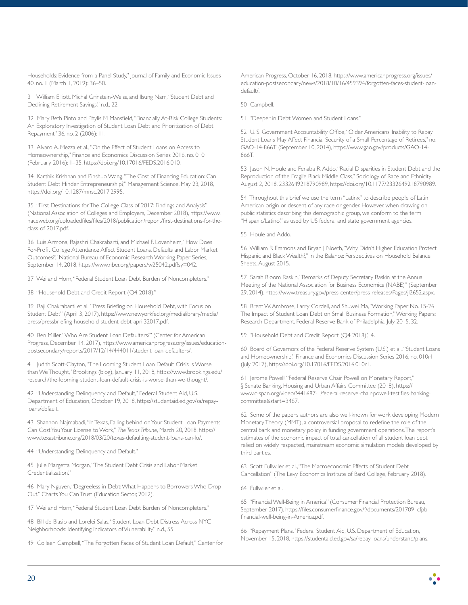Households: Evidence from a Panel Study," Journal of Family and Economic Issues 40, no. 1 (March 1, 2019): 36–50.

31 William Elliott, Michal Grinstein-Weiss, and Ilsung Nam, "Student Debt and Declining Retirement Savings," n.d., 22.

32 Mary Beth Pinto and Phylis M Mansfield, "Financially At-Risk College Students: An Exploratory Investigation of Student Loan Debt and Prioritization of Debt Repayment" 36, no. 2 (2006): 11.

33 Alvaro A. Mezza et al., "On the Effect of Student Loans on Access to Homeownership," Finance and Economics Discussion Series 2016, no. 010 (February 2016): 1–35, https://doi.org/10.17016/FEDS.2016.010.

34 Karthik Krishnan and Pinshuo Wang, "The Cost of Financing Education: Can Student Debt Hinder Entrepreneurship?," Management Science, May 23, 2018, https://doi.org/10.1287/mnsc.2017.2995.

35 "First Destinations for The College Class of 2017: Findings and Analysis" (National Association of Colleges and Employers, December 2018), https://www. naceweb.org/uploadedfiles/files/2018/publication/report/first-destinations-for-theclass-of-2017.pdf.

36 Luis Armona, Rajashri Chakrabarti, and Michael F. Lovenheim, "How Does For-Profit College Attendance Affect Student Loans, Defaults and Labor Market Outcomes?," National Bureau of Economic Research Working Paper Series, September 14, 2018, https://www.nber.org/papers/w25042.pdf?sy=042.

37 Wei and Horn, "Federal Student Loan Debt Burden of Noncompleters."

38 "Household Debt and Credit Report (Q4 2018)."

39 Raji Chakrabarti et al., "Press Briefing on Household Debt, with Focus on Student Debt" (April 3, 2017), https://www.newyorkfed.org/medialibrary/media/ press/pressbriefing-household-student-debt-april32017.pdf.

40 Ben Miller, "Who Are Student Loan Defaulters?" (Center for American Progress, December 14, 2017), https://www.americanprogress.org/issues/educationpostsecondary/reports/2017/12/14/444011/student-loan-defaulters/.

41 Judith Scott-Clayton, "The Looming Student Loan Default Crisis Is Worse than We Thought," Brookings (blog), January 11, 2018, https://www.brookings.edu/ research/the-looming-student-loan-default-crisis-is-worse-than-we-thought/.

42 "Understanding Delinquency and Default," Federal Student Aid, U.S. Department of Education, October 19, 2018, https://studentaid.ed.gov/sa/repayloans/default.

43 Shannon Najmabadi, "In Texas, Falling behind on Your Student Loan Payments Can Cost You Your License to Work," *The Texas Tribune*, March 20, 2018, https:// www.texastribune.org/2018/03/20/texas-defaulting-student-loans-can-lo/.

44 "Understanding Delinquency and Default."

45 Julie Margetta Morgan, "The Student Debt Crisis and Labor Market Credentialization."

46 Mary Nguyen, "Degreeless in Debt: What Happens to Borrowers Who Drop Out." Charts You Can Trust (Education Sector, 2012).

47 Wei and Horn, "Federal Student Loan Debt Burden of Noncompleters."

48 Bill de Blasio and Lorelei Salas, "Student Loan Debt Distress Across NYC Neighborhoods: Identifying Indicators of Vulnerability," n.d., 55.

49 Colleen Campbell, "The Forgotten Faces of Student Loan Default," Center for

American Progress, October 16, 2018, https://www.americanprogress.org/issues/ education-postsecondary/news/2018/10/16/459394/forgotten-faces-student-loandefault/.

50 Campbell.

51 "Deeper in Debt: Women and Student Loans."

52 U. S. Government Accountability Office, "Older Americans: Inability to Repay Student Loans May Affect Financial Security of a Small Percentage of Retirees," no. GAO-14-866T (September 10, 2014), https://www.gao.gov/products/GAO-14- 866T.

53 Jason N. Houle and Fenaba R. Addo, "Racial Disparities in Student Debt and the Reproduction of the Fragile Black Middle Class," Sociology of Race and Ethnicity, August 2, 2018, 2332649218790989, https://doi.org/10.1177/2332649218790989.

54 Throughout this brief we use the term "Latinx" to describe people of Latin American origin or descent of any race or gender. However, when drawing on public statistics describing this demographic group, we conform to the term "Hispanic/Latino," as used by US federal and state government agencies.

55 Houle and Addo.

56 William R Emmons and Bryan J Noeth, "Why Didn't Higher Education Protect Hispanic and Black Wealth?," In the Balance: Perspectives on Household Balance Sheets, August 2015.

57 Sarah Bloom Raskin, "Remarks of Deputy Secretary Raskin at the Annual Meeting of the National Association for Business Economics (NABE)" (September 29, 2014), https://www.treasury.gov/press-center/press-releases/Pages/jl2652.aspx.

58 Brent W. Ambrose, Larry Cordell, and Shuwei Ma, "Working Paper No. 15-26 The Impact of Student Loan Debt on Small Business Formation," Working Papers: Research Department, Federal Reserve Bank of Philadelphia, July 2015, 32.

59 "Household Debt and Credit Report (Q4 2018)," 4.

60 Board of Governors of the Federal Reserve System (U.S.) et al., "Student Loans and Homeownership," Finance and Economics Discussion Series 2016, no. 010r1 (July 2017), https://doi.org/10.17016/FEDS.2016.010r1.

61 Jerome Powell, "Federal Reserve Chair Powell on Monetary Report," § Senate Banking, Housing and Urban Affairs Committee (2018), https:// www.c-span.org/video/?441687-1/federal-reserve-chair-powell-testifies-bankingcommittee&start=3467.

62 Some of the paper's authors are also well-known for work developing Modern Monetary Theory (MMT), a controversial proposal to redefine the role of the central bank and monetary policy in funding government operations. The report's estimates of the economic impact of total cancellation of all student loan debt relied on widely respected, mainstream economic simulation models developed by third parties.

63 Scott Fullwiler et al., "The Macroeconomic Effects of Student Debt Cancellation" (The Levy Economics Institute of Bard College, February 2018).

64 Fullwiler et al.

65 "Financial Well-Being in America" (Consumer Financial Protection Bureau, September 2017), https://files.consumerfinance.gov/f/documents/201709\_cfpb\_ financial-well-being-in-America.pdf.

66 "Repayment Plans," Federal Student Aid, U.S. Department of Education, November 15, 2018, https://studentaid.ed.gov/sa/repay-loans/understand/plans.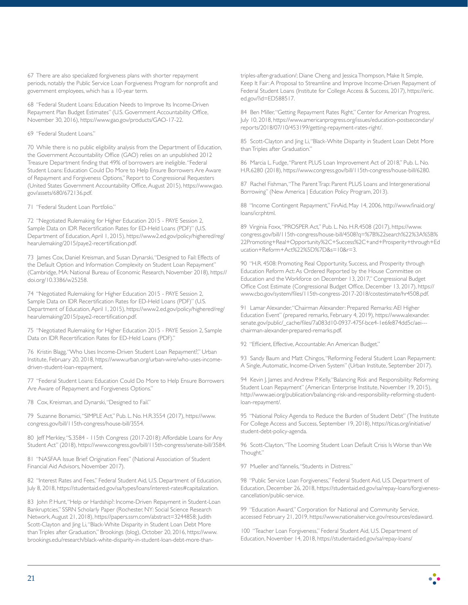67 There are also specialized forgiveness plans with shorter repayment periods, notably the Public Service Loan Forgiveness Program for nonprofit and government employees, which has a 10-year term.

68 "Federal Student Loans: Education Needs to Improve Its Income-Driven Repayment Plan Budget Estimates" (U.S. Government Accountability Office, November 30, 2016), https://www.gao.gov/products/GAO-17-22.

#### 69 "Federal Student Loans."

70 While there is no public eligibility analysis from the Department of Education, the Government Accountability Office (GAO) relies on an unpublished 2012 Treasure Department finding that 49% of borrowers are ineligible. "Federal Student Loans: Education Could Do More to Help Ensure Borrowers Are Aware of Repayment and Forgiveness Options," Report to Congressional Requesters (United States Government Accountability Office, August 2015), https://www.gao. gov/assets/680/672136.pdf.

71 "Federal Student Loan Portfolio."

72 "Negotiated Rulemaking for Higher Education 2015 - PAYE Session 2, Sample Data on IDR Recertification Rates for ED-Held Loans (PDF)" (U.S. Department of Education, April 1, 2015), https://www2.ed.gov/policy/highered/reg/ hearulemaking/2015/paye2-recertification.pdf.

73 James Cox, Daniel Kreisman, and Susan Dynarski, "Designed to Fail: Effects of the Default Option and Information Complexity on Student Loan Repayment" (Cambridge, MA: National Bureau of Economic Research, November 2018), https:// doi.org/10.3386/w25258.

74 "Negotiated Rulemaking for Higher Education 2015 - PAYE Session 2, Sample Data on IDR Recertification Rates for ED-Held Loans (PDF)" (U.S. Department of Education, April 1, 2015), https://www2.ed.gov/policy/highered/reg/ hearulemaking/2015/paye2-recertification.pdf.

75 "Negotiated Rulemaking for Higher Education 2015 - PAYE Session 2, Sample Data on IDR Recertification Rates for ED-Held Loans (PDF)."

76 Kristin Blagg, "Who Uses Income-Driven Student Loan Repayment?," Urban Institute, February 20, 2018, https://www.urban.org/urban-wire/who-uses-incomedriven-student-loan-repayment.

77 "Federal Student Loans: Education Could Do More to Help Ensure Borrowers Are Aware of Repayment and Forgiveness Options."

78 Cox, Kreisman, and Dynarski, "Designed to Fail."

79 Suzanne Bonamici, "SIMPLE Act," Pub. L. No. H.R.3554 (2017), https://www. congress.gov/bill/115th-congress/house-bill/3554.

80 Jeff Merkley, "S.3584 - 115th Congress (2017-2018): Affordable Loans for Any Student Act" (2018), https://www.congress.gov/bill/115th-congress/senate-bill/3584.

81 "NASFAA Issue Brief: Origination Fees" (National Association of Student Financial Aid Advisors, November 2017).

82 "Interest Rates and Fees," Federal Student Aid, U.S. Department of Education, July 8, 2018, https://studentaid.ed.gov/sa/types/loans/interest-rates#capitalization.

83 John P. Hunt, "Help or Hardship?: Income-Driven Repayment in Student-Loan Bankruptcies," SSRN Scholarly Paper (Rochester, NY: Social Science Research Network, August 21, 2018), https://papers.ssrn.com/abstract=3244858; Judith Scott-Clayton and Jing Li, "Black-White Disparity in Student Loan Debt More than Triples after Graduation," Brookings (blog), October 20, 2016, https://www. brookings.edu/research/black-white-disparity-in-student-loan-debt-more-thantriples-after-graduation/; Diane Cheng and Jessica Thompson, Make It Simple, Keep It Fair: A Proposal to Streamline and Improve Income-Driven Repayment of Federal Student Loans (Institute for College Access & Success, 2017), https://eric. ed.gov/?id=ED588517.

84 Ben Miller, "Getting Repayment Rates Right," Center for American Progress, July 10, 2018, https://www.americanprogress.org/issues/education-postsecondary/ reports/2018/07/10/453199/getting-repayment-rates-right/.

85 Scott-Clayton and Jing Li, "Black-White Disparity in Student Loan Debt More than Triples after Graduation."

86 Marcia L. Fudge, "Parent PLUS Loan Improvement Act of 2018," Pub. L. No. H.R.6280 (2018), https://www.congress.gov/bill/115th-congress/house-bill/6280.

87 Rachel Fishman, "The Parent Trap: Parent PLUS Loans and Intergenerational Borrowing" (New America | Education Policy Program, 2013).

88 "Income Contingent Repayment," FinAid, May 14, 2006, http://www.finaid.org/ loans/icr.phtml.

89 Virginia Foxx, "PROSPER Act," Pub. L. No. H.R.4508 (2017), https://www. congress.gov/bill/115th-congress/house-bill/4508?q=%7B%22search%22%3A%5B% 22Promoting+Real+Opportunity%2C+Success%2C+and+Prosperity+through+Ed ucation+Reform+Act%22%5D%7D&s=10&r=3.

90 "H.R. 4508: Promoting Real Opportunity, Success, and Prosperity through Education Reform Act: As Ordered Reported by the House Committee on Education and the Workforce on December 13, 2017," Congressional Budget Office Cost Estimate (Congressional Budget Office, December 13, 2017), https:// www.cbo.gov/system/files/115th-congress-2017-2018/costestimate/hr4508.pdf.

91 Lamar Alexander, "Chairman Alexander: Prepared Remarks: AEI Higher Education Event" (prepared remarks, February 4, 2019), https://www.alexander. senate.gov/public/\_cache/files/7a083d10-0937-475f-bce4-1e6fe874dd5c/aei-chairman-alexander-prepared-remarks.pdf.

92 "Efficient, Effective, Accountable: An American Budget."

93 Sandy Baum and Matt Chingos, "Reforming Federal Student Loan Repayment: A Single, Automatic, Income-Driven System" (Urban Institute, September 2017).

94 Kevin J. James and Andrew P. Kelly, "Balancing Risk and Responsibility: Reforming Student Loan Repayment" (American Enterprise Institute, November 19, 2015), http://www.aei.org/publication/balancing-risk-and-responsibility-reforming-studentloan-repayment/.

95 "National Policy Agenda to Reduce the Burden of Student Debt" (The Institute For College Access and Success, September 19, 2018), https://ticas.org/initiative/ student-debt-policy-agenda.

96 Scott-Clayton, "The Looming Student Loan Default Crisis Is Worse than We Thought."

97 Mueller and Yannelis, "Students in Distress."

98 "Public Service Loan Forgiveness," Federal Student Aid, U.S. Department of Education, December 26, 2018, https://studentaid.ed.gov/sa/repay-loans/forgivenesscancellation/public-service.

99 "Education Award," Corporation for National and Community Service, accessed February 21, 2019, https://www.nationalservice.gov/resources/edaward.

100 "Teacher Loan Forgiveness," Federal Student Aid, U.S. Department of Education, November 14, 2018, https://studentaid.ed.gov/sa/repay-loans/

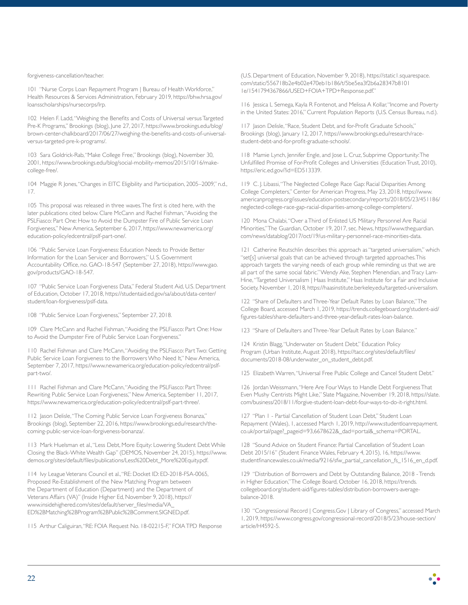forgiveness-cancellation/teacher.

101 "Nurse Corps Loan Repayment Program | Bureau of Health Workforce," Health Resources & Services Administration, February 2019, https://bhw.hrsa.gov/ loansscholarships/nursecorps/lrp.

102 Helen F. Ladd, "Weighing the Benefits and Costs of Universal versus Targeted Pre-K Programs," Brookings (blog), June 27, 2017, https://www.brookings.edu/blog/ brown-center-chalkboard/2017/06/27/weighing-the-benefits-and-costs-of-universalversus-targeted-pre-k-programs/.

103 Sara Goldrick-Rab, "Make College Free," Brookings (blog), November 30, 2001, https://www.brookings.edu/blog/social-mobility-memos/2015/10/16/makecollege-free/.

104 Maggie R Jones, "Changes in EITC Eligibility and Participation, 2005–2009," n.d., 17.

105 This proposal was released in three waves. The first is cited here, with the later publications cited below. Clare McCann and Rachel Fishman, "Avoiding the PSLFiasco: Part One: How to Avoid the Dumpster Fire of Public Service Loan Forgiveness," New America, September 6, 2017, https://www.newamerica.org/ education-policy/edcentral/pslf-part-one/.

106 "Public Service Loan Forgiveness: Education Needs to Provide Better Information for the Loan Servicer and Borrowers," U. S. Government Accountability Office, no. GAO-18-547 (September 27, 2018), https://www.gao. gov/products/GAO-18-547.

107 "Public Service Loan Forgiveness Data," Federal Student Aid, U.S. Department of Education, October 17, 2018, https://studentaid.ed.gov/sa/about/data-center/ student/loan-forgiveness/pslf-data.

108 "Public Service Loan Forgiveness," September 27, 2018.

109 Clare McCann and Rachel Fishman, "Avoiding the PSLFiasco: Part One: How to Avoid the Dumpster Fire of Public Service Loan Forgiveness."

110 Rachel Fishman and Clare McCann, "Avoiding the PSLFiasco: Part Two: Getting Public Service Loan Forgiveness to the Borrowers Who Need It," New America, September 7, 2017, https://www.newamerica.org/education-policy/edcentral/pslfpart-two/.

111 Rachel Fishman and Clare McCann, "Avoiding the PSLFiasco: Part Three: Rewriting Public Service Loan Forgiveness," New America, September 11, 2017, https://www.newamerica.org/education-policy/edcentral/pslf-part-three/.

112 Jason Delisle, "The Coming Public Service Loan Forgiveness Bonanza," Brookings (blog), September 22, 2016, https://www.brookings.edu/research/thecoming-public-service-loan-forgiveness-bonanza/.

113 Mark Huelsman et al., "Less Debt, More Equity: Lowering Student Debt While Closing the Black-White Wealth Gap" (DEMOS, November 24, 2015), https://www. demos.org/sites/default/files/publications/Less%20Debt\_More%20Equity.pdf.

114 Ivy League Veterans Council et al., "RE: Docket ID: ED-2018-FSA-0065, Proposed Re-Establishment of the New Matching Program between the Department of Education (Department) and the Department of Veterans Affairs (VA)" (Inside Higher Ed, November 9, 2018), https:// www.insidehighered.com/sites/default/server\_files/media/VA\_ ED%2BMatching%2BProgram%2BPublic%2BComment.SIGNED.pdf.

115 Arthur Caliguiran, "RE: FOIA Request No. 18-02215-F," FOIA TPD Response

(U.S. Department of Education, November 9, 2018), https://static1.squarespace. com/static/556718b2e4b02e470eb1b186/t/5be5ea3f2b6a28347b8101 1e/1541794367866/USED+FOIA+TPD+Response.pdf."

116 Jessica L Semega, Kayla R Fontenot, and Melissa A Kollar, "Income and Poverty in the United States: 2016," Current Population Reports (U.S. Census Bureau, n.d.).

117 Jason Delisle, "Race, Student Debt, and for-Profit Graduate Schools," Brookings (blog), January 12, 2017, https://www.brookings.edu/research/racestudent-debt-and-for-profit-graduate-schools/.

118 Mamie Lynch, Jennifer Engle, and Jose L. Cruz, Subprime Opportunity: The Unfulfilled Promise of For-Profit Colleges and Universities (Education Trust, 2010), https://eric.ed.gov/?id=ED513339.

119 C. J. Libassi, "The Neglected College Race Gap: Racial Disparities Among College Completers," Center for American Progress, May 23, 2018, https://www. americanprogress.org/issues/education-postsecondary/reports/2018/05/23/451186/ neglected-college-race-gap-racial-disparities-among-college-completers/.

120 Mona Chalabi, "Over a Third of Enlisted US Military Personnel Are Racial Minorities," The Guardian, October 19, 2017, sec. News, https://www.theguardian. com/news/datablog/2017/oct/19/us-military-personnel-race-minorities-data.

121 Catherine Reutschlin describes this approach as "targeted universalism," which "set[s] universal goals that can be achieved through targeted approaches. This approach targets the varying needs of each group while reminding us that we are all part of the same social fabric." Wendy Ake, Stephen Menendian, and Tracy Lam-Hine, "Targeted Universalism | Haas Institute," Haas Institute for a Fair and Inclusive Society, November 1, 2018, https://haasinstitute.berkeley.edu/targeted-universalism.

122 "Share of Defaulters and Three-Year Default Rates by Loan Balance," The College Board, accessed March 1, 2019, https://trends.collegeboard.org/student-aid/ figures-tables/share-defaulters-and-three-year-default-rates-loan-balance.

123 "Share of Defaulters and Three-Year Default Rates by Loan Balance."

124 Kristin Blagg, "Underwater on Student Debt," Education Policy Program (Urban Institute, August 2018), https://tacc.org/sites/default/files/ documents/2018-08/underwater\_on\_student\_debt.pdf.

125 Elizabeth Warren, "Universal Free Public College and Cancel Student Debt."

126 Jordan Weissmann, "Here Are Four Ways to Handle Debt Forgiveness That Even Mushy Centrists Might Like," Slate Magazine, November 19, 2018, https://slate. com/business/2018/11/forgive-student-loan-debt-four-ways-to-do-it-right.html.

127 "Plan 1 - Partial Cancellation of Student Loan Debt," Student Loan Repayment (Wales), 1, accessed March 1, 2019, http://www.studentloanrepayment. co.uk/portal/page?\_pageid=93,6678622&\_dad=portal&\_schema=PORTAL.

128 "Sound Advice on Student Finance: Partial Cancellation of Student Loan Debt 2015/16" (Student Finance Wales, February 4, 2015), 16, https://www. studentfinancewales.co.uk/media/9216/sfw\_partial\_cancellation\_fs\_1516\_en\_d.pdf.

129 "Distribution of Borrowers and Debt by Outstanding Balance, 2018 - Trends in Higher Education," The College Board, October 16, 2018, https://trends. collegeboard.org/student-aid/figures-tables/distribution-borrowers-averagebalance-2018.

130 "Congressional Record | Congress.Gov | Library of Congress," accessed March 1, 2019, https://www.congress.gov/congressional-record/2018/5/23/house-section/ article/H4592-5.